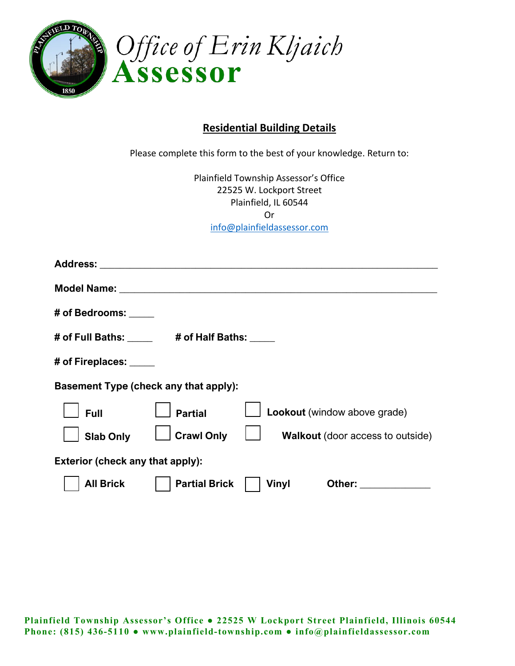

## **Residential Building Details**

Please complete this form to the best of your knowledge. Return to: Plainfield Township Assessor's Office 22525 W. Lockport Street Plainfield, IL 60544 Or [info@plainfieldassessor.com](mailto:info@plainfieldassessor.com) **All Brick Partial Brick Vinyl Other: \_\_\_\_\_\_\_\_\_\_\_\_\_\_ Address: \_\_\_\_\_\_\_\_\_\_\_\_\_\_\_\_\_\_\_\_\_\_\_\_\_\_\_\_\_\_\_\_\_\_\_\_\_\_\_\_\_\_\_\_\_\_\_\_\_\_\_\_\_\_\_\_\_\_\_\_\_\_\_\_\_\_\_ Model Name: \_\_\_\_\_\_\_\_\_\_\_\_\_\_\_\_\_\_\_\_\_\_\_\_\_\_\_\_\_\_\_\_\_\_\_\_\_\_\_\_\_\_\_\_\_\_\_\_\_\_\_\_\_\_\_\_\_\_\_\_\_\_\_ # of Bedrooms: \_\_\_\_\_ # of Full Baths: \_\_\_\_\_ # of Half Baths: \_\_\_\_\_ # of Fireplaces: \_\_\_\_\_ Basement Type (check any that apply): Full Partial Lookout** (window above grade) **Slab Only**  $\Box$  **Crawl Only**  $\Box$  **Walkout** (door access to outside) **Exterior (check any that apply):**